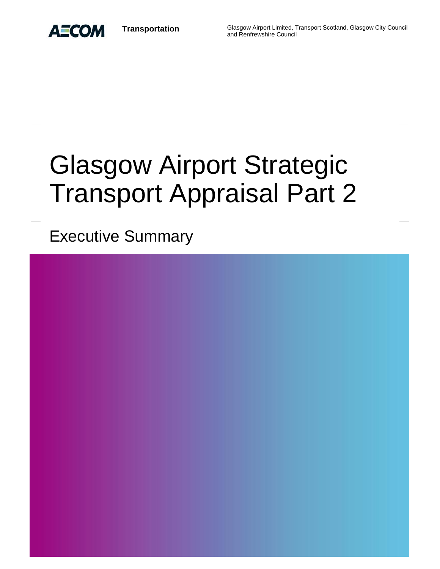

**Transportation** Glasgow Airport Limited, Transport Scotland, Glasgow City Council and Renfrewshire Council

# Glasgow Airport Strategic Transport Appraisal Part 2

Executive Summary

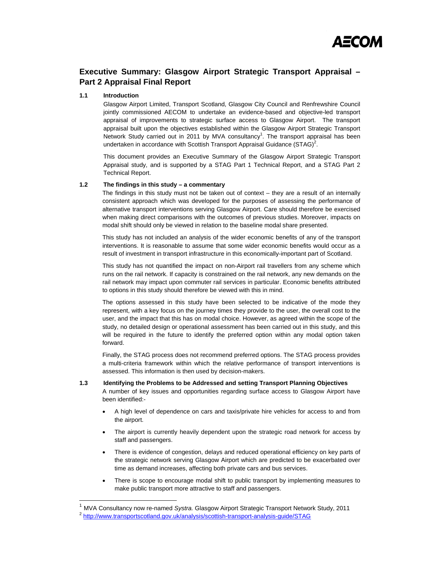

# **Executive Summary: Glasgow Airport Strategic Transport Appraisal – Part 2 Appraisal Final Report**

# **1.1 Introduction**

 $\overline{a}$ 

Glasgow Airport Limited, Transport Scotland, Glasgow City Council and Renfrewshire Council jointly commissioned AECOM to undertake an evidence-based and objective-led transport appraisal of improvements to strategic surface access to Glasgow Airport. The transport appraisal built upon the objectives established within the Glasgow Airport Strategic Transport Network Study carried out in 2011 by MVA consultancy<sup>1</sup>. The transport appraisal has been undertaken in accordance with Scottish Transport Appraisal Guidance (STAG)<sup>2</sup>.

This document provides an Executive Summary of the Glasgow Airport Strategic Transport Appraisal study, and is supported by a STAG Part 1 Technical Report, and a STAG Part 2 Technical Report.

# **1.2 The findings in this study – a commentary**

The findings in this study must not be taken out of context – they are a result of an internally consistent approach which was developed for the purposes of assessing the performance of alternative transport interventions serving Glasgow Airport. Care should therefore be exercised when making direct comparisons with the outcomes of previous studies. Moreover, impacts on modal shift should only be viewed in relation to the baseline modal share presented.

This study has not included an analysis of the wider economic benefits of any of the transport interventions. It is reasonable to assume that some wider economic benefits would occur as a result of investment in transport infrastructure in this economically-important part of Scotland.

This study has not quantified the impact on non-Airport rail travellers from any scheme which runs on the rail network. If capacity is constrained on the rail network, any new demands on the rail network may impact upon commuter rail services in particular. Economic benefits attributed to options in this study should therefore be viewed with this in mind.

The options assessed in this study have been selected to be indicative of the mode they represent, with a key focus on the journey times they provide to the user, the overall cost to the user, and the impact that this has on modal choice. However, as agreed within the scope of the study, no detailed design or operational assessment has been carried out in this study, and this will be required in the future to identify the preferred option within any modal option taken forward.

Finally, the STAG process does not recommend preferred options. The STAG process provides a multi-criteria framework within which the relative performance of transport interventions is assessed. This information is then used by decision-makers.

# **1.3 Identifying the Problems to be Addressed and setting Transport Planning Objectives**

A number of key issues and opportunities regarding surface access to Glasgow Airport have been identified:-

- A high level of dependence on cars and taxis/private hire vehicles for access to and from the airport.
- The airport is currently heavily dependent upon the strategic road network for access by staff and passengers.
- There is evidence of congestion, delays and reduced operational efficiency on key parts of the strategic network serving Glasgow Airport which are predicted to be exacerbated over time as demand increases, affecting both private cars and bus services.
- There is scope to encourage modal shift to public transport by implementing measures to make public transport more attractive to staff and passengers.

<sup>&</sup>lt;sup>1</sup> MVA Consultancy now re-named *Systra.* Glasgow Airport Strategic Transport Network Study, 2011<br><sup>2</sup> http://www.transportsco<u>tland.gov.uk/analysis/scottish-transport-analysis-guide/STAG</u>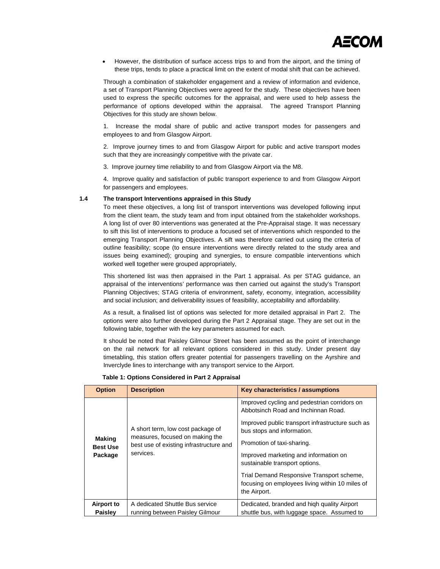

 However, the distribution of surface access trips to and from the airport, and the timing of these trips, tends to place a practical limit on the extent of modal shift that can be achieved.

Through a combination of stakeholder engagement and a review of information and evidence, a set of Transport Planning Objectives were agreed for the study. These objectives have been used to express the specific outcomes for the appraisal, and were used to help assess the performance of options developed within the appraisal. The agreed Transport Planning Objectives for this study are shown below.

1. Increase the modal share of public and active transport modes for passengers and employees to and from Glasgow Airport.

2. Improve journey times to and from Glasgow Airport for public and active transport modes such that they are increasingly competitive with the private car.

3. Improve journey time reliability to and from Glasgow Airport via the M8.

4. Improve quality and satisfaction of public transport experience to and from Glasgow Airport for passengers and employees.

# **1.4 The transport Interventions appraised in this Study**

To meet these objectives, a long list of transport interventions was developed following input from the client team, the study team and from input obtained from the stakeholder workshops. A long list of over 80 interventions was generated at the Pre-Appraisal stage. It was necessary to sift this list of interventions to produce a focused set of interventions which responded to the emerging Transport Planning Objectives. A sift was therefore carried out using the criteria of outline feasibility; scope (to ensure interventions were directly related to the study area and issues being examined); grouping and synergies, to ensure compatible interventions which worked well together were grouped appropriately,

This shortened list was then appraised in the Part 1 appraisal. As per STAG guidance, an appraisal of the interventions' performance was then carried out against the study's Transport Planning Objectives; STAG criteria of environment, safety, economy, integration, accessibility and social inclusion; and deliverability issues of feasibility, acceptability and affordability.

As a result, a finalised list of options was selected for more detailed appraisal in Part 2. The options were also further developed during the Part 2 Appraisal stage. They are set out in the following table, together with the key parameters assumed for each.

It should be noted that Paisley Gilmour Street has been assumed as the point of interchange on the rail network for all relevant options considered in this study. Under present day timetabling, this station offers greater potential for passengers travelling on the Ayrshire and Inverclyde lines to interchange with any transport service to the Airport.

| <b>Option</b>                               | <b>Description</b>                                                                                                           | Key characteristics / assumptions                                                                                                                                                                                                                                                                                                                                                              |  |  |  |  |
|---------------------------------------------|------------------------------------------------------------------------------------------------------------------------------|------------------------------------------------------------------------------------------------------------------------------------------------------------------------------------------------------------------------------------------------------------------------------------------------------------------------------------------------------------------------------------------------|--|--|--|--|
| <b>Making</b><br><b>Best Use</b><br>Package | A short term, low cost package of<br>measures, focused on making the<br>best use of existing infrastructure and<br>services. | Improved cycling and pedestrian corridors on<br>Abbotsinch Road and Inchinnan Road.<br>Improved public transport infrastructure such as<br>bus stops and information.<br>Promotion of taxi-sharing.<br>Improved marketing and information on<br>sustainable transport options.<br>Trial Demand Responsive Transport scheme,<br>focusing on employees living within 10 miles of<br>the Airport. |  |  |  |  |
| Airport to                                  | A dedicated Shuttle Bus service                                                                                              | Dedicated, branded and high quality Airport                                                                                                                                                                                                                                                                                                                                                    |  |  |  |  |
| Paisley                                     | running between Paisley Gilmour                                                                                              | shuttle bus, with luggage space. Assumed to                                                                                                                                                                                                                                                                                                                                                    |  |  |  |  |

**Table 1: Options Considered in Part 2 Appraisal**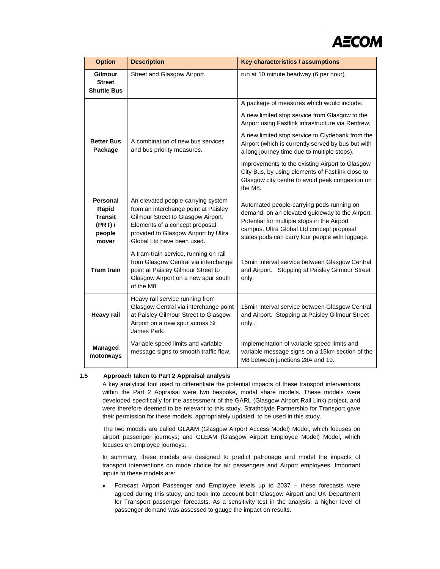

| <b>Option</b>                                                   | <b>Description</b>                                                                                                                                                                                                       | Key characteristics / assumptions                                                                                                                                                                                                           |  |  |  |
|-----------------------------------------------------------------|--------------------------------------------------------------------------------------------------------------------------------------------------------------------------------------------------------------------------|---------------------------------------------------------------------------------------------------------------------------------------------------------------------------------------------------------------------------------------------|--|--|--|
| Gilmour<br><b>Street</b><br><b>Shuttle Bus</b>                  | Street and Glasgow Airport.                                                                                                                                                                                              | run at 10 minute headway (6 per hour).                                                                                                                                                                                                      |  |  |  |
|                                                                 |                                                                                                                                                                                                                          | A package of measures which would include:                                                                                                                                                                                                  |  |  |  |
|                                                                 |                                                                                                                                                                                                                          | A new limited stop service from Glasgow to the<br>Airport using Fastlink infrastructure via Renfrew.                                                                                                                                        |  |  |  |
| <b>Better Bus</b><br>Package                                    | A combination of new bus services<br>and bus priority measures.                                                                                                                                                          | A new limited stop service to Clydebank from the<br>Airport (which is currently served by bus but with<br>a long journey time due to multiple stops).                                                                                       |  |  |  |
|                                                                 |                                                                                                                                                                                                                          | Improvements to the existing Airport to Glasgow<br>City Bus, by using elements of Fastlink close to<br>Glasgow city centre to avoid peak congestion on<br>the M8.                                                                           |  |  |  |
| Personal<br>Rapid<br><b>Transit</b><br>(PRT)<br>people<br>mover | An elevated people-carrying system<br>from an interchange point at Paisley<br>Gilmour Street to Glasgow Airport.<br>Elements of a concept proposal<br>provided to Glasgow Airport by Ultra<br>Global Ltd have been used. | Automated people-carrying pods running on<br>demand, on an elevated guideway to the Airport.<br>Potential for multiple stops in the Airport<br>campus. Ultra Global Ltd concept proposal<br>states pods can carry four people with luggage. |  |  |  |
| <b>Tram train</b>                                               | A tram-train service, running on rail<br>from Glasgow Central via interchange<br>point at Paisley Gilmour Street to<br>Glasgow Airport on a new spur south<br>of the M8.                                                 | 15min interval service between Glasgow Central<br>and Airport. Stopping at Paisley Gilmour Street<br>only.                                                                                                                                  |  |  |  |
| <b>Heavy rail</b>                                               | Heavy rail service running from<br>Glasgow Central via interchange point<br>at Paisley Gilmour Street to Glasgow<br>Airport on a new spur across St<br>James Park.                                                       | 15min interval service between Glasgow Central<br>and Airport. Stopping at Paisley Gilmour Street<br>only                                                                                                                                   |  |  |  |
| Managed<br>motorways                                            | Variable speed limits and variable<br>message signs to smooth traffic flow.                                                                                                                                              | Implementation of variable speed limits and<br>variable message signs on a 15km section of the<br>M8 between junctions 28A and 19.                                                                                                          |  |  |  |

# **1.5 Approach taken to Part 2 Appraisal analysis**

A key analytical tool used to differentiate the potential impacts of these transport interventions within the Part 2 Appraisal were two bespoke, modal share models. These models were developed specifically for the assessment of the GARL (Glasgow Airport Rail Link) project, and were therefore deemed to be relevant to this study. Strathclyde Partnership for Transport gave their permission for these models, appropriately updated, to be used in this study.

The two models are called GLAAM (Glasgow Airport Access Model) Model, which focuses on airport passenger journeys; and GLEAM (Glasgow Airport Employee Model) Model, which focuses on employee journeys.

In summary, these models are designed to predict patronage and model the impacts of transport interventions on mode choice for air passengers and Airport employees. Important inputs to these models are:

 Forecast Airport Passenger and Employee levels up to 2037 – these forecasts were agreed during this study, and took into account both Glasgow Airport and UK Department for Transport passenger forecasts. As a sensitivity test in the analysis, a higher level of passenger demand was assessed to gauge the impact on results.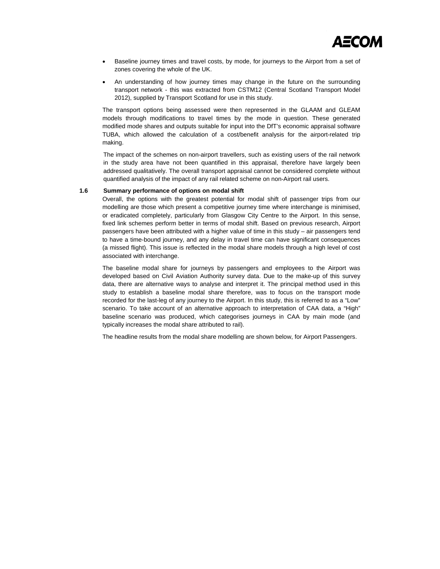

- Baseline journey times and travel costs, by mode, for journeys to the Airport from a set of zones covering the whole of the UK.
- An understanding of how journey times may change in the future on the surrounding transport network - this was extracted from CSTM12 (Central Scotland Transport Model 2012), supplied by Transport Scotland for use in this study.

The transport options being assessed were then represented in the GLAAM and GLEAM models through modifications to travel times by the mode in question. These generated modified mode shares and outputs suitable for input into the DfT's economic appraisal software TUBA, which allowed the calculation of a cost/benefit analysis for the airport-related trip making.

The impact of the schemes on non-airport travellers, such as existing users of the rail network in the study area have not been quantified in this appraisal, therefore have largely been addressed qualitatively. The overall transport appraisal cannot be considered complete without quantified analysis of the impact of any rail related scheme on non-Airport rail users.

# **1.6 Summary performance of options on modal shift**

Overall, the options with the greatest potential for modal shift of passenger trips from our modelling are those which present a competitive journey time where interchange is minimised, or eradicated completely, particularly from Glasgow City Centre to the Airport. In this sense, fixed link schemes perform better in terms of modal shift. Based on previous research, Airport passengers have been attributed with a higher value of time in this study – air passengers tend to have a time-bound journey, and any delay in travel time can have significant consequences (a missed flight). This issue is reflected in the modal share models through a high level of cost associated with interchange.

The baseline modal share for journeys by passengers and employees to the Airport was developed based on Civil Aviation Authority survey data. Due to the make-up of this survey data, there are alternative ways to analyse and interpret it. The principal method used in this study to establish a baseline modal share therefore, was to focus on the transport mode recorded for the last-leg of any journey to the Airport. In this study, this is referred to as a "Low" scenario. To take account of an alternative approach to interpretation of CAA data, a "High" baseline scenario was produced, which categorises journeys in CAA by main mode (and typically increases the modal share attributed to rail).

The headline results from the modal share modelling are shown below, for Airport Passengers.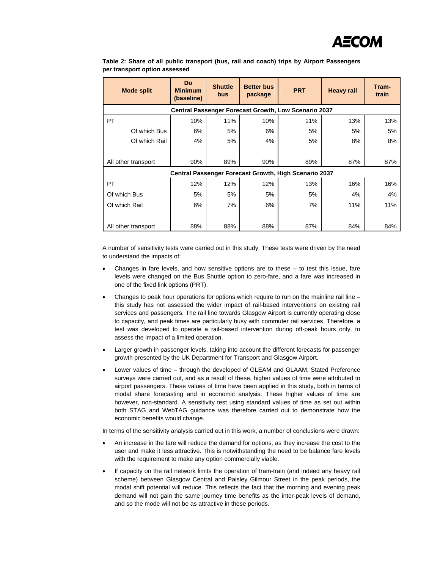

| <b>Mode split</b>                                            | <b>Do</b><br><b>Minimum</b><br>(baseline) | <b>Shuttle</b><br>bus | <b>Better bus</b><br>package | <b>PRT</b> | <b>Heavy rail</b> | Tram-<br>train |  |
|--------------------------------------------------------------|-------------------------------------------|-----------------------|------------------------------|------------|-------------------|----------------|--|
| Central Passenger Forecast Growth, Low Scenario 2037         |                                           |                       |                              |            |                   |                |  |
| <b>PT</b>                                                    | 10%                                       | 11%                   | 10%                          | 11%        | 13%               | 13%            |  |
| Of which Bus                                                 | 6%                                        | 5%                    | 6%                           | 5%         | 5%                | 5%             |  |
| Of which Rail                                                | 4%                                        | 5%                    | 4%                           | 5%         | 8%                | 8%             |  |
|                                                              |                                           |                       |                              |            |                   |                |  |
| All other transport                                          | 90%                                       | 89%                   | 90%                          | 89%        | 87%               | 87%            |  |
| <b>Central Passenger Forecast Growth, High Scenario 2037</b> |                                           |                       |                              |            |                   |                |  |
| <b>PT</b>                                                    | 12%                                       | 12%                   | 12%                          | 13%        | 16%               | 16%            |  |
| Of which Bus                                                 | 5%                                        | 5%                    | 5%                           | 5%         | 4%                | 4%             |  |
| Of which Rail                                                | 6%                                        | 7%                    | 6%                           | 7%         | 11%               | 11%            |  |
|                                                              |                                           |                       |                              |            |                   |                |  |
| All other transport                                          | 88%                                       | 88%                   | 88%                          | 87%        | 84%               | 84%            |  |

**Table 2: Share of all public transport (bus, rail and coach) trips by Airport Passengers per transport option assessed** 

A number of sensitivity tests were carried out in this study. These tests were driven by the need to understand the impacts of:

- Changes in fare levels, and how sensitive options are to these to test this issue, fare levels were changed on the Bus Shuttle option to zero-fare, and a fare was increased in one of the fixed link options (PRT).
- Changes to peak hour operations for options which require to run on the mainline rail line this study has not assessed the wider impact of rail-based interventions on existing rail services and passengers. The rail line towards Glasgow Airport is currently operating close to capacity, and peak times are particularly busy with commuter rail services. Therefore, a test was developed to operate a rail-based intervention during off-peak hours only, to assess the impact of a limited operation.
- Larger growth in passenger levels, taking into account the different forecasts for passenger growth presented by the UK Department for Transport and Glasgow Airport.
- Lower values of time through the developed of GLEAM and GLAAM, Stated Preference surveys were carried out, and as a result of these, higher values of time were attributed to airport passengers. These values of time have been applied in this study, both in terms of modal share forecasting and in economic analysis. These higher values of time are however, non-standard. A sensitivity test using standard values of time as set out within both STAG and WebTAG guidance was therefore carried out to demonstrate how the economic benefits would change.

In terms of the sensitivity analysis carried out in this work, a number of conclusions were drawn:

- An increase in the fare will reduce the demand for options, as they increase the cost to the user and make it less attractive. This is notwithstanding the need to be balance fare levels with the requirement to make any option commercially viable.
- If capacity on the rail network limits the operation of tram-train (and indeed any heavy rail scheme) between Glasgow Central and Paisley Gilmour Street in the peak periods, the modal shift potential will reduce. This reflects the fact that the morning and evening peak demand will not gain the same journey time benefits as the inter-peak levels of demand, and so the mode will not be as attractive in these periods.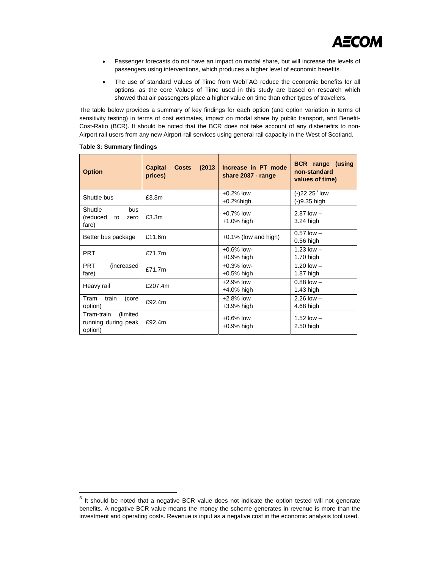- Passenger forecasts do not have an impact on modal share, but will increase the levels of passengers using interventions, which produces a higher level of economic benefits.
- The use of standard Values of Time from WebTAG reduce the economic benefits for all options, as the core Values of Time used in this study are based on research which showed that air passengers place a higher value on time than other types of travellers.

The table below provides a summary of key findings for each option (and option variation in terms of sensitivity testing) in terms of cost estimates, impact on modal share by public transport, and Benefit-Cost-Ratio (BCR). It should be noted that the BCR does not take account of any disbenefits to non-Airport rail users from any new Airport-rail services using general rail capacity in the West of Scotland.

| <b>Option</b>                                             | <b>Capital</b><br><b>Costs</b><br>(2013)<br>prices) | Increase in PT mode<br>share 2037 - range | <b>BCR</b> range (using<br>non-standard<br>values of time) |  |
|-----------------------------------------------------------|-----------------------------------------------------|-------------------------------------------|------------------------------------------------------------|--|
| Shuttle bus                                               | £3.3m                                               | $+0.2%$ low<br>$+0.2%$ high               | $(-)22.25^3$ low<br>(-)9.35 high                           |  |
| Shuttle<br>bus<br>(reduced<br>to<br>zero<br>fare)         | £3.3m                                               | $+0.7\%$ low<br>+1.0% high                | $2.87$ low $-$<br>3.24 high                                |  |
| Better bus package                                        | £11.6m                                              | $+0.1\%$ (low and high)                   | $0.57$ low $-$<br>$0.56$ high                              |  |
| <b>PRT</b>                                                | £71.7m                                              | $+0.6\%$ low-<br>+0.9% high               | $1.23$ low $-$<br>1.70 high                                |  |
| <b>PRT</b><br>(increased<br>fare)                         | £71.7m                                              | $+0.3%$ low-<br>+0.5% high                | 1.20 $low -$<br>1.87 high                                  |  |
| Heavy rail                                                | £207.4m                                             | $+2.9%$ low<br>+4.0% high                 | $0.88$ low $-$<br>$1.43$ high                              |  |
| Tram<br>train<br>(core<br>option)                         | £92.4m                                              | +2.8% low<br>+3.9% high                   | $2.26$ low $-$<br>4.68 high                                |  |
| Tram-train<br>(limited)<br>running during peak<br>option) | £92.4m                                              | $+0.6\%$ low<br>+0.9% high                | $1.52$ low $-$<br>$2.50$ high                              |  |

# **Table 3: Summary findings**

 $\overline{a}$ 

 $3$  It should be noted that a negative BCR value does not indicate the option tested will not generate benefits. A negative BCR value means the money the scheme generates in revenue is more than the investment and operating costs. Revenue is input as a negative cost in the economic analysis tool used.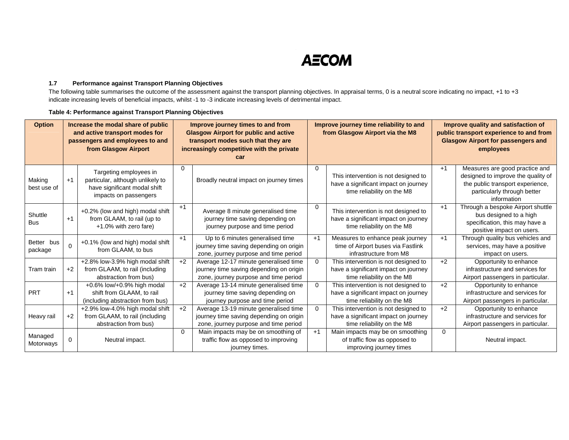# **AECOM**

# **1.7 Performance against Transport Planning Objectives**

The following table summarises the outcome of the assessment against the transport planning objectives. In appraisal terms, 0 is a neutral score indicating no impact, +1 to +3 indicate increasing levels of beneficial impacts, whilst -1 to -3 indicate increasing levels of detrimental impact.

| <b>Option</b>         | Increase the modal share of public<br>and active transport modes for<br>passengers and employees to and<br>from Glasgow Airport |                                                                                                                     | Improve journey times to and from<br><b>Glasgow Airport for public and active</b><br>transport modes such that they are<br>increasingly competitive with the private<br>car |                                                                                                                           | Improve journey time reliability to and<br>from Glasgow Airport via the M8 |                                                                                                            | Improve quality and satisfaction of<br>public transport experience to and from<br><b>Glasgow Airport for passengers and</b><br>employees |                                                                                                                                                        |
|-----------------------|---------------------------------------------------------------------------------------------------------------------------------|---------------------------------------------------------------------------------------------------------------------|-----------------------------------------------------------------------------------------------------------------------------------------------------------------------------|---------------------------------------------------------------------------------------------------------------------------|----------------------------------------------------------------------------|------------------------------------------------------------------------------------------------------------|------------------------------------------------------------------------------------------------------------------------------------------|--------------------------------------------------------------------------------------------------------------------------------------------------------|
| Making<br>best use of | $+1$                                                                                                                            | Targeting employees in<br>particular, although unlikely to<br>have significant modal shift<br>impacts on passengers | 0                                                                                                                                                                           | Broadly neutral impact on journey times                                                                                   | ი                                                                          | This intervention is not designed to<br>have a significant impact on journey<br>time reliability on the M8 | $+1$                                                                                                                                     | Measures are good practice and<br>designed to improve the quality of<br>the public transport experience,<br>particularly through better<br>information |
| Shuttle<br><b>Bus</b> | $+1$                                                                                                                            | +0.2% (low and high) modal shift<br>from GLAAM, to rail (up to<br>+1.0% with zero fare)                             | $+1$                                                                                                                                                                        | Average 8 minute generalised time<br>journey time saving depending on<br>journey purpose and time period                  | 0                                                                          | This intervention is not designed to<br>have a significant impact on journey<br>time reliability on the M8 | $+1$                                                                                                                                     | Through a bespoke Airport shuttle<br>bus designed to a high<br>specification, this may have a<br>positive impact on users.                             |
| Better bus<br>package | $\Omega$                                                                                                                        | +0.1% (low and high) modal shift<br>from GLAAM, to bus                                                              | $+1$                                                                                                                                                                        | Up to 6 minutes generalised time<br>journey time saving depending on origin<br>zone, journey purpose and time period      | $+1$                                                                       | Measures to enhance peak journey<br>time of Airport buses via Fastlink<br>infrastructure from M8           | $+1$                                                                                                                                     | Through quality bus vehicles and<br>services, may have a positive<br>impact on users.                                                                  |
| Tram train            | $+2$                                                                                                                            | +2.8% low-3.9% high modal shift<br>from GLAAM, to rail (including<br>abstraction from bus)                          | $+2$                                                                                                                                                                        | Average 12-17 minute generalised time<br>journey time saving depending on origin<br>zone, journey purpose and time period | $\mathbf 0$                                                                | This intervention is not designed to<br>have a significant impact on journey<br>time reliability on the M8 | $+2$                                                                                                                                     | Opportunity to enhance<br>infrastructure and services for<br>Airport passengers in particular.                                                         |
| <b>PRT</b>            | $+1$                                                                                                                            | +0.6% low/+0.9% high modal<br>shift from GLAAM, to rail<br>(including abstraction from bus)                         | $+2$                                                                                                                                                                        | Average 13-14 minute generalised time<br>journey time saving depending on<br>journey purpose and time period              | $\Omega$                                                                   | This intervention is not designed to<br>have a significant impact on journey<br>time reliability on the M8 | $+2$                                                                                                                                     | Opportunity to enhance<br>infrastructure and services for<br>Airport passengers in particular.                                                         |
| Heavy rail            | $+2$                                                                                                                            | +2.9% low-4.0% high modal shift<br>from GLAAM, to rail (including<br>abstraction from bus)                          | $+2$                                                                                                                                                                        | Average 13-19 minute generalised time<br>journey time saving depending on origin<br>zone, journey purpose and time period | $\Omega$                                                                   | This intervention is not designed to<br>have a significant impact on journey<br>time reliability on the M8 | $+2$                                                                                                                                     | Opportunity to enhance<br>infrastructure and services for<br>Airport passengers in particular.                                                         |
| Managed<br>Motorways  | $\mathbf 0$                                                                                                                     | Neutral impact.                                                                                                     | $\Omega$                                                                                                                                                                    | Main impacts may be on smoothing of<br>traffic flow as opposed to improving<br>journey times.                             | $+1$                                                                       | Main impacts may be on smoothing<br>of traffic flow as opposed to<br>improving journey times               | $\mathbf 0$                                                                                                                              | Neutral impact.                                                                                                                                        |

# **Table 4: Performance against Transport Planning Objectives**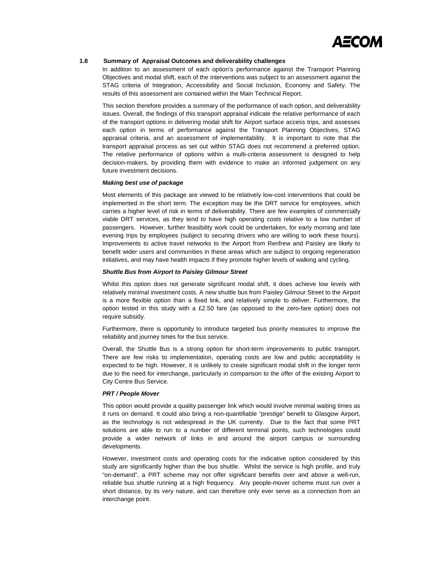

# **1.8 Summary of Appraisal Outcomes and deliverability challenges**

In addition to an assessment of each option's performance against the Transport Planning Objectives and modal shift, each of the interventions was subject to an assessment against the STAG criteria of Integration, Accessibility and Social Inclusion, Economy and Safety. The results of this assessment are contained within the Main Technical Report.

This section therefore provides a summary of the performance of each option, and deliverability issues. Overall, the findings of this transport appraisal indicate the relative performance of each of the transport options in delivering modal shift for Airport surface access trips, and assesses each option in terms of performance against the Transport Planning Objectives, STAG appraisal criteria, and an assessment of implementability. It is important to note that the transport appraisal process as set out within STAG does not recommend a preferred option. The relative performance of options within a multi-criteria assessment is designed to help decision-makers, by providing them with evidence to make an informed judgement on any future investment decisions.

### *Making best use of package*

Most elements of this package are viewed to be relatively low-cost interventions that could be implemented in the short term. The exception may be the DRT service for employees, which carries a higher level of risk in terms of deliverability. There are few examples of commercially viable DRT services, as they tend to have high operating costs relative to a low number of passengers. However, further feasibility work could be undertaken, for early morning and late evening trips by employees (subject to securing drivers who are willing to work these hours). Improvements to active travel networks to the Airport from Renfrew and Paisley are likely to benefit wider users and communities in these areas which are subject to ongoing regeneration initiatives, and may have health impacts if they promote higher levels of walking and cycling.

# *Shuttle Bus from Airport to Paisley Gilmour Street*

Whilst this option does not generate significant modal shift, it does achieve low levels with relatively minimal investment costs. A new shuttle bus from Paisley Gilmour Street to the Airport is a more flexible option than a fixed link, and relatively simple to deliver. Furthermore, the option tested in this study with a £2.50 fare (as opposed to the zero-fare option) does not require subsidy.

Furthermore, there is opportunity to introduce targeted bus priority measures to improve the reliability and journey times for the bus service.

Overall, the Shuttle Bus is a strong option for short-term improvements to public transport. There are few risks to implementation, operating costs are low and public acceptability is expected to be high. However, it is unlikely to create significant modal shift in the longer term due to the need for interchange, particularly in comparison to the offer of the existing Airport to City Centre Bus Service.

# *PRT / People Mover*

This option would provide a quality passenger link which would involve minimal waiting times as it runs on demand. It could also bring a non-quantifiable "prestige" benefit to Glasgow Airport, as the technology is not widespread in the UK currently. Due to the fact that some PRT solutions are able to run to a number of different terminal points, such technologies could provide a wider network of links in and around the airport campus or surrounding developments.

However, investment costs and operating costs for the indicative option considered by this study are significantly higher than the bus shuttle. Whilst the service is high profile, and truly "on-demand", a PRT scheme may not offer significant benefits over and above a well-run, reliable bus shuttle running at a high frequency. Any people-mover scheme must run over a short distance, by its very nature, and can therefore only ever serve as a connection from an interchange point.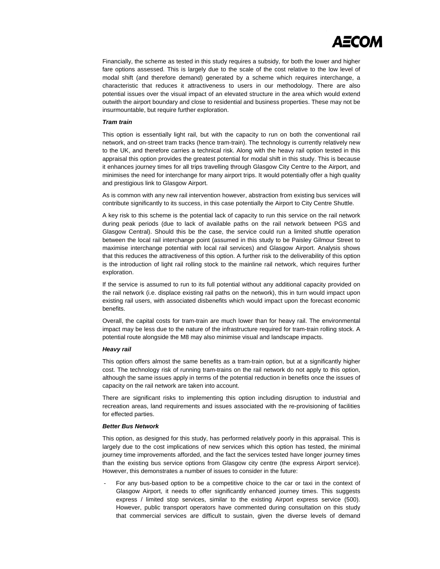

Financially, the scheme as tested in this study requires a subsidy, for both the lower and higher fare options assessed. This is largely due to the scale of the cost relative to the low level of modal shift (and therefore demand) generated by a scheme which requires interchange, a characteristic that reduces it attractiveness to users in our methodology. There are also potential issues over the visual impact of an elevated structure in the area which would extend outwith the airport boundary and close to residential and business properties. These may not be insurmountable, but require further exploration.

#### *Tram train*

This option is essentially light rail, but with the capacity to run on both the conventional rail network, and on-street tram tracks (hence tram-train). The technology is currently relatively new to the UK, and therefore carries a technical risk. Along with the heavy rail option tested in this appraisal this option provides the greatest potential for modal shift in this study. This is because it enhances journey times for all trips travelling through Glasgow City Centre to the Airport, and minimises the need for interchange for many airport trips. It would potentially offer a high quality and prestigious link to Glasgow Airport.

As is common with any new rail intervention however, abstraction from existing bus services will contribute significantly to its success, in this case potentially the Airport to City Centre Shuttle.

A key risk to this scheme is the potential lack of capacity to run this service on the rail network during peak periods (due to lack of available paths on the rail network between PGS and Glasgow Central). Should this be the case, the service could run a limited shuttle operation between the local rail interchange point (assumed in this study to be Paisley Gilmour Street to maximise interchange potential with local rail services) and Glasgow Airport. Analysis shows that this reduces the attractiveness of this option. A further risk to the deliverability of this option is the introduction of light rail rolling stock to the mainline rail network, which requires further exploration.

If the service is assumed to run to its full potential without any additional capacity provided on the rail network (i.e. displace existing rail paths on the network), this in turn would impact upon existing rail users, with associated disbenefits which would impact upon the forecast economic benefits.

Overall, the capital costs for tram-train are much lower than for heavy rail. The environmental impact may be less due to the nature of the infrastructure required for tram-train rolling stock. A potential route alongside the M8 may also minimise visual and landscape impacts.

#### *Heavy rail*

This option offers almost the same benefits as a tram-train option, but at a significantly higher cost. The technology risk of running tram-trains on the rail network do not apply to this option, although the same issues apply in terms of the potential reduction in benefits once the issues of capacity on the rail network are taken into account.

There are significant risks to implementing this option including disruption to industrial and recreation areas, land requirements and issues associated with the re-provisioning of facilities for effected parties.

#### *Better Bus Network*

This option, as designed for this study, has performed relatively poorly in this appraisal. This is largely due to the cost implications of new services which this option has tested, the minimal journey time improvements afforded, and the fact the services tested have longer journey times than the existing bus service options from Glasgow city centre (the express Airport service). However, this demonstrates a number of issues to consider in the future:

- For any bus-based option to be a competitive choice to the car or taxi in the context of Glasgow Airport, it needs to offer significantly enhanced journey times. This suggests express / limited stop services, similar to the existing Airport express service (500). However, public transport operators have commented during consultation on this study that commercial services are difficult to sustain, given the diverse levels of demand